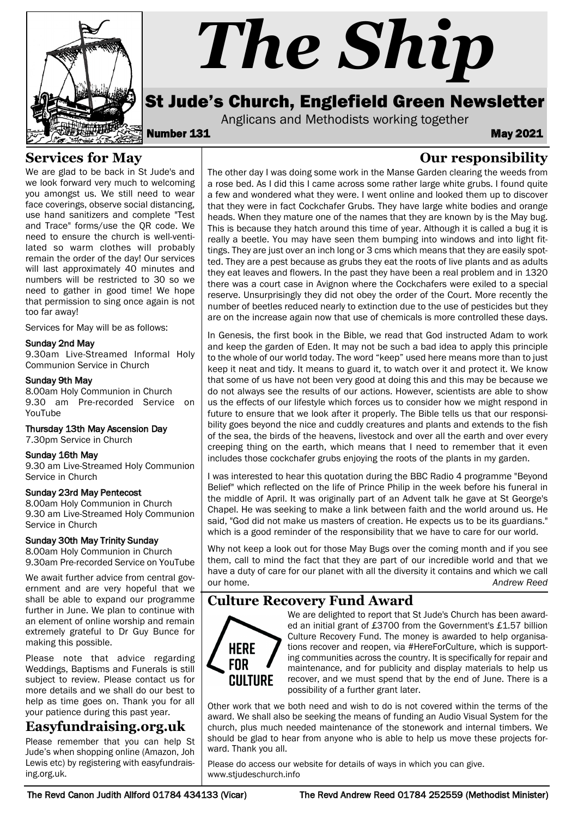

# *The Ship*

# St Jude's Church, Englefield Green Newsletter

Anglicans and Methodists working together<br>**May 2021** May

**Our responsibility**

# **Services for May**

We are glad to be back in St Jude's and we look forward very much to welcoming you amongst us. We still need to wear face coverings, observe social distancing, use hand sanitizers and complete "Test and Trace" forms/use the QR code. We need to ensure the church is well-ventilated so warm clothes will probably remain the order of the day! Our services will last approximately 40 minutes and numbers will be restricted to 30 so we need to gather in good time! We hope that permission to sing once again is not too far away!

Services for May will be as follows:

### Sunday 2nd May

9.30am Live-Streamed Informal Holy Communion Service in Church

### Sunday 9th May

8.00am Holy Communion in Church 9.30 am Pre-recorded Service on YouTube

### Thursday 13th May Ascension Day

### 7.30pm Service in Church

### Sunday 16th May

9.30 am Live-Streamed Holy Communion Service in Church

### Sunday 23rd May Pentecost

8.00am Holy Communion in Church 9.30 am Live-Streamed Holy Communion Service in Church

### Sunday 30th May Trinity Sunday

8.00am Holy Communion in Church 9.30am Pre-recorded Service on YouTube

We await further advice from central government and are very hopeful that we shall be able to expand our programme further in June. We plan to continue with an element of online worship and remain extremely grateful to Dr Guy Bunce for making this possible.

Please note that advice regarding Weddings, Baptisms and Funerals is still subject to review. Please contact us for more details and we shall do our best to help as time goes on. Thank you for all your patience during this past year.

### **Easyfundraising.org.uk**

Please remember that you can help St Jude's when shopping online (Amazon, Joh Lewis etc) by registering with easyfundraising.org.uk.

The other day I was doing some work in the Manse Garden clearing the weeds from a rose bed. As I did this I came across some rather large white grubs. I found quite a few and wondered what they were. I went online and looked them up to discover that they were in fact Cockchafer Grubs. They have large white bodies and orange heads. When they mature one of the names that they are known by is the May bug. This is because they hatch around this time of year. Although it is called a bug it is really a beetle. You may have seen them bumping into windows and into light fittings. They are just over an inch long or 3 cms which means that they are easily spotted. They are a pest because as grubs they eat the roots of live plants and as adults they eat leaves and flowers. In the past they have been a real problem and in 1320 there was a court case in Avignon where the Cockchafers were exiled to a special reserve. Unsurprisingly they did not obey the order of the Court. More recently the number of beetles reduced nearly to extinction due to the use of pesticides but they are on the increase again now that use of chemicals is more controlled these days.

In Genesis, the first book in the Bible, we read that God instructed Adam to work and keep the garden of Eden. It may not be such a bad idea to apply this principle to the whole of our world today. The word "keep" used here means more than to just keep it neat and tidy. It means to guard it, to watch over it and protect it. We know that some of us have not been very good at doing this and this may be because we do not always see the results of our actions. However, scientists are able to show us the effects of our lifestyle which forces us to consider how we might respond in future to ensure that we look after it properly. The Bible tells us that our responsibility goes beyond the nice and cuddly creatures and plants and extends to the fish of the sea, the birds of the heavens, livestock and over all the earth and over every creeping thing on the earth, which means that I need to remember that it even includes those cockchafer grubs enjoying the roots of the plants in my garden.

I was interested to hear this quotation during the BBC Radio 4 programme "Beyond Belief" which reflected on the life of Prince Philip in the week before his funeral in the middle of April. It was originally part of an Advent talk he gave at St George's Chapel. He was seeking to make a link between faith and the world around us. He said, "God did not make us masters of creation. He expects us to be its guardians." which is a good reminder of the responsibility that we have to care for our world.

Why not keep a look out for those May Bugs over the coming month and if you see them, call to mind the fact that they are part of our incredible world and that we have a duty of care for our planet with all the diversity it contains and which we call our home. *Andrew Reed*

# **Culture Recovery Fund Award**



We are delighted to report that St Jude's Church has been awarded an initial grant of £3700 from the Government's £1.57 billion Culture Recovery Fund. The money is awarded to help organisations recover and reopen, via #HereForCulture, which is supporting communities across the country. It is specifically for repair and maintenance, and for publicity and display materials to help us recover, and we must spend that by the end of June. There is a possibility of a further grant later.

Other work that we both need and wish to do is not covered within the terms of the award. We shall also be seeking the means of funding an Audio Visual System for the church, plus much needed maintenance of the stonework and internal timbers. We should be glad to hear from anyone who is able to help us move these projects forward. Thank you all.

Please do access our website for details of ways in which you can give. www.stjudeschurch.info